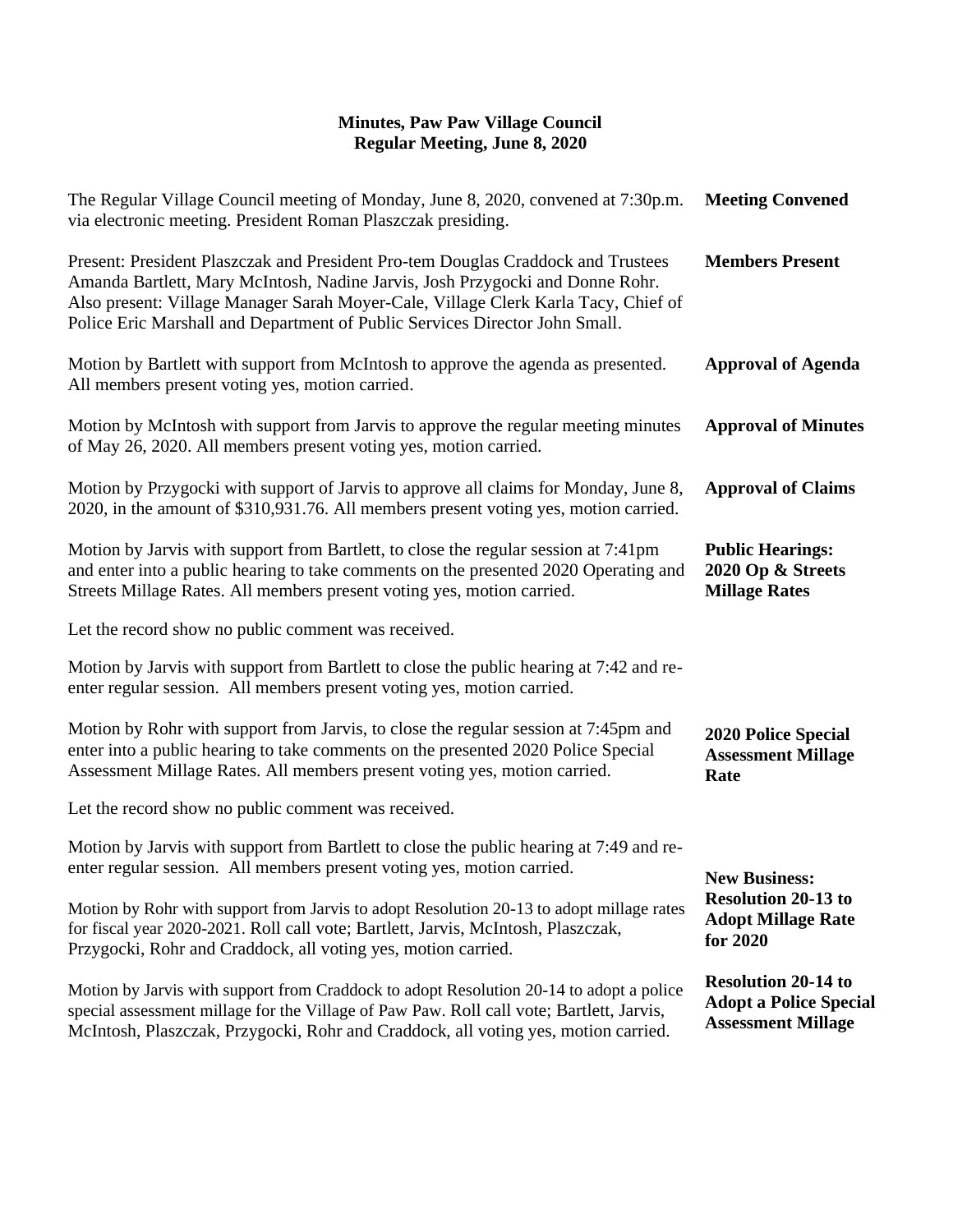| The Regular Village Council meeting of Monday, June 8, 2020, convened at 7:30p.m.<br>via electronic meeting. President Roman Plaszczak presiding.                                                                                                                                                                                      | <b>Meeting Convened</b>                                                                  |
|----------------------------------------------------------------------------------------------------------------------------------------------------------------------------------------------------------------------------------------------------------------------------------------------------------------------------------------|------------------------------------------------------------------------------------------|
| Present: President Plaszczak and President Pro-tem Douglas Craddock and Trustees<br>Amanda Bartlett, Mary McIntosh, Nadine Jarvis, Josh Przygocki and Donne Rohr.<br>Also present: Village Manager Sarah Moyer-Cale, Village Clerk Karla Tacy, Chief of<br>Police Eric Marshall and Department of Public Services Director John Small. | <b>Members Present</b>                                                                   |
| Motion by Bartlett with support from McIntosh to approve the agenda as presented.<br>All members present voting yes, motion carried.                                                                                                                                                                                                   | <b>Approval of Agenda</b>                                                                |
| Motion by McIntosh with support from Jarvis to approve the regular meeting minutes<br>of May 26, 2020. All members present voting yes, motion carried.                                                                                                                                                                                 | <b>Approval of Minutes</b>                                                               |
| Motion by Przygocki with support of Jarvis to approve all claims for Monday, June 8,<br>2020, in the amount of \$310,931.76. All members present voting yes, motion carried.                                                                                                                                                           | <b>Approval of Claims</b>                                                                |
| Motion by Jarvis with support from Bartlett, to close the regular session at 7:41pm<br>and enter into a public hearing to take comments on the presented 2020 Operating and<br>Streets Millage Rates. All members present voting yes, motion carried.                                                                                  | <b>Public Hearings:</b><br>2020 Op & Streets<br><b>Millage Rates</b>                     |
| Let the record show no public comment was received.                                                                                                                                                                                                                                                                                    |                                                                                          |
| Motion by Jarvis with support from Bartlett to close the public hearing at 7:42 and re-<br>enter regular session. All members present voting yes, motion carried.                                                                                                                                                                      |                                                                                          |
| Motion by Rohr with support from Jarvis, to close the regular session at 7:45pm and<br>enter into a public hearing to take comments on the presented 2020 Police Special<br>Assessment Millage Rates. All members present voting yes, motion carried.                                                                                  | 2020 Police Special<br><b>Assessment Millage</b><br>Rate                                 |
| Let the record show no public comment was received.                                                                                                                                                                                                                                                                                    |                                                                                          |
| Motion by Jarvis with support from Bartlett to close the public hearing at 7:49 and re-<br>enter regular session. All members present voting yes, motion carried.                                                                                                                                                                      | <b>New Business:</b>                                                                     |
| Motion by Rohr with support from Jarvis to adopt Resolution 20-13 to adopt millage rates<br>for fiscal year 2020-2021. Roll call vote; Bartlett, Jarvis, McIntosh, Plaszczak,<br>Przygocki, Rohr and Craddock, all voting yes, motion carried.                                                                                         | <b>Resolution 20-13 to</b><br><b>Adopt Millage Rate</b><br>for 2020                      |
| Motion by Jarvis with support from Craddock to adopt Resolution 20-14 to adopt a police<br>special assessment millage for the Village of Paw Paw. Roll call vote; Bartlett, Jarvis,<br>McIntosh, Plaszczak, Przygocki, Rohr and Craddock, all voting yes, motion carried.                                                              | <b>Resolution 20-14 to</b><br><b>Adopt a Police Special</b><br><b>Assessment Millage</b> |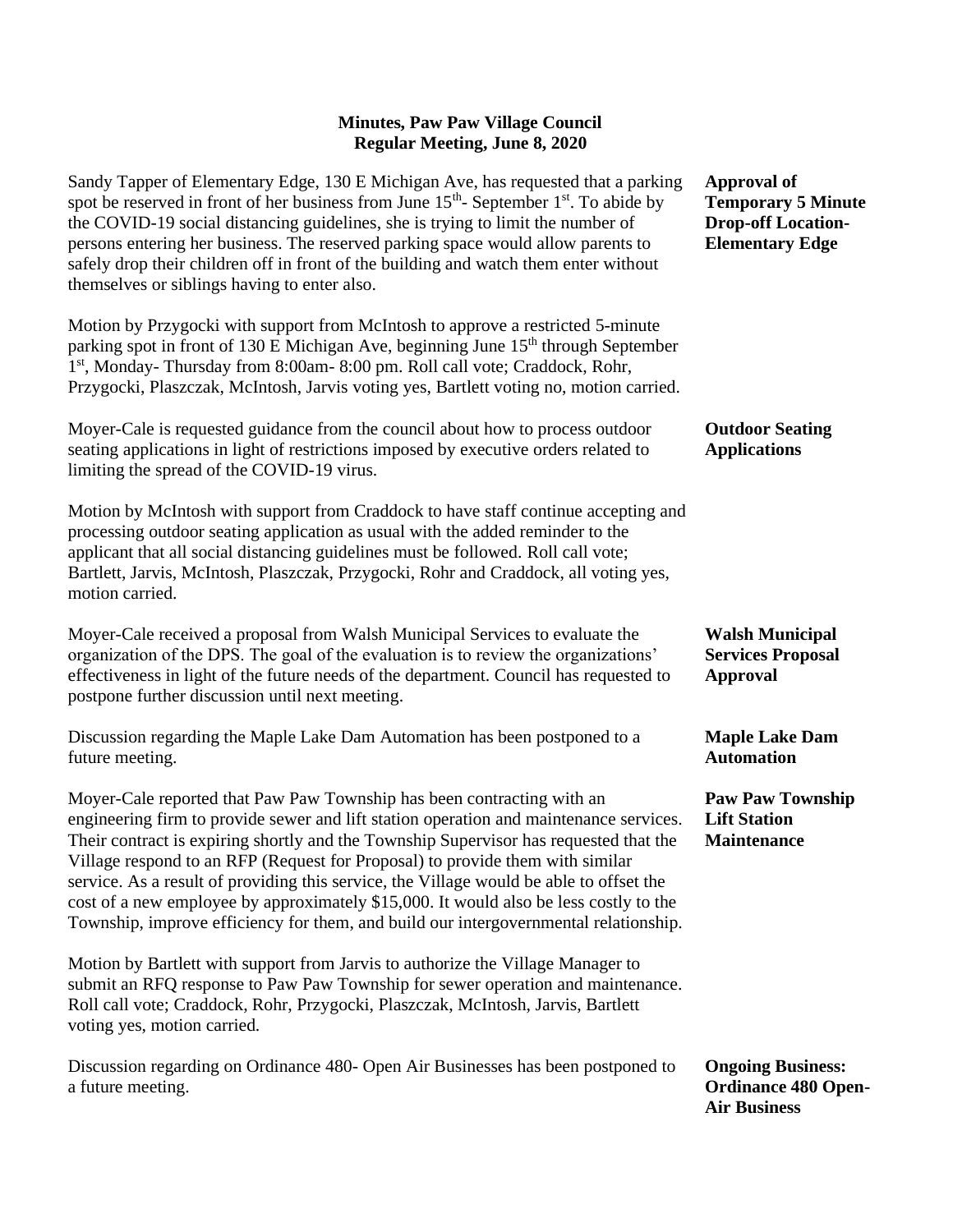Sandy Tapper of Elementary Edge, 130 E Michigan Ave, has requested that a parking spot be reserved in front of her business from June  $15<sup>th</sup>$ - September  $1<sup>st</sup>$ . To abide by the COVID-19 social distancing guidelines, she is trying to limit the number of persons entering her business. The reserved parking space would allow parents to safely drop their children off in front of the building and watch them enter without themselves or siblings having to enter also. Motion by Przygocki with support from McIntosh to approve a restricted 5-minute parking spot in front of 130 E Michigan Ave, beginning June  $15<sup>th</sup>$  through September 1<sup>st</sup>, Monday- Thursday from 8:00am- 8:00 pm. Roll call vote; Craddock, Rohr, Przygocki, Plaszczak, McIntosh, Jarvis voting yes, Bartlett voting no, motion carried. Moyer-Cale is requested guidance from the council about how to process outdoor seating applications in light of restrictions imposed by executive orders related to limiting the spread of the COVID-19 virus. Motion by McIntosh with support from Craddock to have staff continue accepting and processing outdoor seating application as usual with the added reminder to the applicant that all social distancing guidelines must be followed. Roll call vote; Bartlett, Jarvis, McIntosh, Plaszczak, Przygocki, Rohr and Craddock, all voting yes, motion carried. Moyer-Cale received a proposal from Walsh Municipal Services to evaluate the organization of the DPS. The goal of the evaluation is to review the organizations' effectiveness in light of the future needs of the department. Council has requested to postpone further discussion until next meeting. Discussion regarding the Maple Lake Dam Automation has been postponed to a future meeting. Moyer-Cale reported that Paw Paw Township has been contracting with an engineering firm to provide sewer and lift station operation and maintenance services. Their contract is expiring shortly and the Township Supervisor has requested that the Village respond to an RFP (Request for Proposal) to provide them with similar service. As a result of providing this service, the Village would be able to offset the cost of a new employee by approximately \$15,000. It would also be less costly to the Township, improve efficiency for them, and build our intergovernmental relationship. Motion by Bartlett with support from Jarvis to authorize the Village Manager to submit an RFQ response to Paw Paw Township for sewer operation and maintenance. Roll call vote; Craddock, Rohr, Przygocki, Plaszczak, McIntosh, Jarvis, Bartlett voting yes, motion carried. Discussion regarding on Ordinance 480- Open Air Businesses has been postponed to a future meeting. **Approval of Temporary 5 Minute Drop-off Location-Elementary Edge Outdoor Seating Applications Walsh Municipal Services Proposal Approval Maple Lake Dam Automation Paw Paw Township Lift Station Maintenance Ongoing Business: Ordinance 480 Open-Air Business**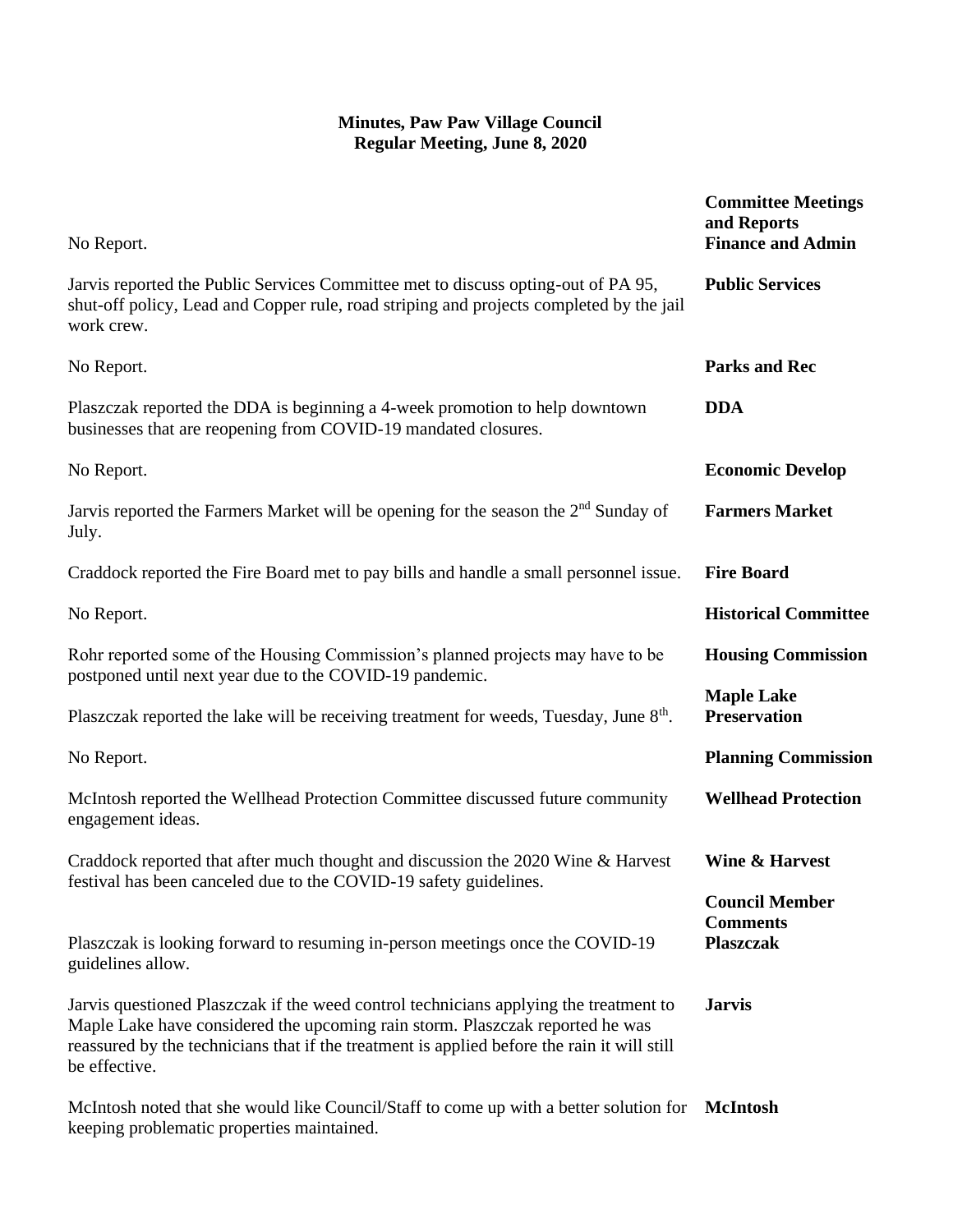| No Report.                                                                                                                                                                                                                                                                             | <b>Committee Meetings</b><br>and Reports<br><b>Finance and Admin</b> |
|----------------------------------------------------------------------------------------------------------------------------------------------------------------------------------------------------------------------------------------------------------------------------------------|----------------------------------------------------------------------|
| Jarvis reported the Public Services Committee met to discuss opting-out of PA 95,<br>shut-off policy, Lead and Copper rule, road striping and projects completed by the jail<br>work crew.                                                                                             | <b>Public Services</b>                                               |
| No Report.                                                                                                                                                                                                                                                                             | <b>Parks and Rec</b>                                                 |
| Plaszczak reported the DDA is beginning a 4-week promotion to help downtown<br>businesses that are reopening from COVID-19 mandated closures.                                                                                                                                          | <b>DDA</b>                                                           |
| No Report.                                                                                                                                                                                                                                                                             | <b>Economic Develop</b>                                              |
| Jarvis reported the Farmers Market will be opening for the season the 2 <sup>nd</sup> Sunday of<br>July.                                                                                                                                                                               | <b>Farmers Market</b>                                                |
| Craddock reported the Fire Board met to pay bills and handle a small personnel issue.                                                                                                                                                                                                  | <b>Fire Board</b>                                                    |
| No Report.                                                                                                                                                                                                                                                                             | <b>Historical Committee</b>                                          |
| Rohr reported some of the Housing Commission's planned projects may have to be<br>postponed until next year due to the COVID-19 pandemic.                                                                                                                                              | <b>Housing Commission</b>                                            |
| Plaszczak reported the lake will be receiving treatment for weeds, Tuesday, June $8th$ .                                                                                                                                                                                               | <b>Maple Lake</b><br><b>Preservation</b>                             |
| No Report.                                                                                                                                                                                                                                                                             | <b>Planning Commission</b>                                           |
| McIntosh reported the Wellhead Protection Committee discussed future community<br>engagement ideas.                                                                                                                                                                                    | <b>Wellhead Protection</b>                                           |
| Craddock reported that after much thought and discussion the 2020 Wine & Harvest<br>festival has been canceled due to the COVID-19 safety guidelines.                                                                                                                                  | <b>Wine &amp; Harvest</b>                                            |
|                                                                                                                                                                                                                                                                                        | <b>Council Member</b><br><b>Comments</b>                             |
| Plaszczak is looking forward to resuming in-person meetings once the COVID-19<br>guidelines allow.                                                                                                                                                                                     | <b>Plaszczak</b>                                                     |
| Jarvis questioned Plaszczak if the weed control technicians applying the treatment to<br>Maple Lake have considered the upcoming rain storm. Plaszczak reported he was<br>reassured by the technicians that if the treatment is applied before the rain it will still<br>be effective. | <b>Jarvis</b>                                                        |
| McIntosh noted that she would like Council/Staff to come up with a better solution for<br>keeping problematic properties maintained.                                                                                                                                                   | McIntosh                                                             |